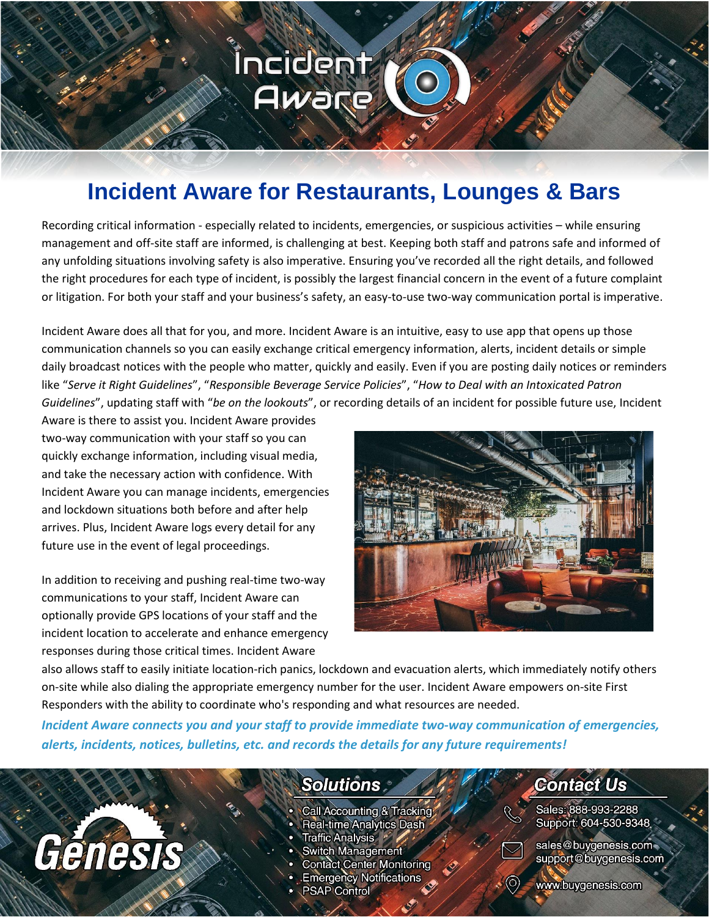## **Incident Aware for Restaurants, Lounges & Bars**

Íncident

Aware

Recording critical information - especially related to incidents, emergencies, or suspicious activities – while ensuring management and off-site staff are informed, is challenging at best. Keeping both staff and patrons safe and informed of any unfolding situations involving safety is also imperative. Ensuring you've recorded all the right details, and followed the right procedures for each type of incident, is possibly the largest financial concern in the event of a future complaint or litigation. For both your staff and your business's safety, an easy-to-use two-way communication portal is imperative.

Incident Aware does all that for you, and more. Incident Aware is an intuitive, easy to use app that opens up those communication channels so you can easily exchange critical emergency information, alerts, incident details or simple daily broadcast notices with the people who matter, quickly and easily. Even if you are posting daily notices or reminders like "*Serve it Right Guidelines*", "*Responsible Beverage Service Policies*", "*How to Deal with an Intoxicated Patron Guidelines*", updating staff with "*be on the lookouts*", or recording details of an incident for possible future use, Incident

Aware is there to assist you. Incident Aware provides two-way communication with your staff so you can quickly exchange information, including visual media, and take the necessary action with confidence. With Incident Aware you can manage incidents, emergencies and lockdown situations both before and after help arrives. Plus, Incident Aware logs every detail for any future use in the event of legal proceedings.

In addition to receiving and pushing real-time two-way communications to your staff, Incident Aware can optionally provide GPS locations of your staff and the incident location to accelerate and enhance emergency responses during those critical times. Incident Aware



also allows staff to easily initiate location-rich panics, lockdown and evacuation alerts, which immediately notify others on-site while also dialing the appropriate emergency number for the user. Incident Aware empowers on-site First Responders with the ability to coordinate who's responding and what resources are needed.

*Incident Aware connects you and your staff to provide immediate two-way communication of emergencies, alerts, incidents, notices, bulletins, etc. and records the details for any future requirements!*

# Genesis

### **Solutions**

- Call Accounting & Tracking
- Real-time Analytics Dash
- Traffic Analysis \*
- **Switch Management**
- **Contact Center Monitoring**
- **Emergency Notifications**
- **PSAP Control**

### **Contact Us**

Sales: 888-993-2288 Support: 604-530-9348



sales@buygenesis.com support@buygenesis.com